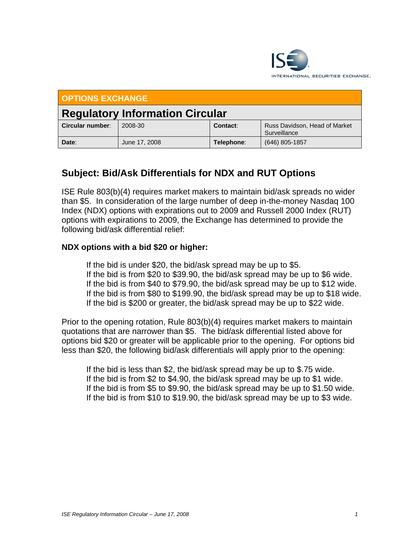

| <b>OPTIONS EXCHANGE</b>                |               |            |                                               |
|----------------------------------------|---------------|------------|-----------------------------------------------|
| <b>Regulatory Information Circular</b> |               |            |                                               |
| Circular number:                       | 2008-30       | Contact:   | Russ Davidson, Head of Market<br>Surveillance |
| Date:                                  | June 17, 2008 | Telephone: | (646) 805-1857                                |

## **Subject: Bid/Ask Differentials for NDX and RUT Options**

ISE Rule 803(b)(4) requires market makers to maintain bid/ask spreads no wider than \$5. In consideration of the large number of deep in-the-money Nasdaq 100 Index (NDX) options with expirations out to 2009 and Russell 2000 Index (RUT) options with expirations to 2009, the Exchange has determined to provide the following bid/ask differential relief:

## **NDX options with a bid \$20 or higher:**

 If the bid is under \$20, the bid/ask spread may be up to \$5. If the bid is from \$20 to \$39.90, the bid/ask spread may be up to \$6 wide. If the bid is from \$40 to \$79.90, the bid/ask spread may be up to \$12 wide. If the bid is from \$80 to \$199.90, the bid/ask spread may be up to \$18 wide. If the bid is \$200 or greater, the bid/ask spread may be up to \$22 wide.

Prior to the opening rotation, Rule 803(b)(4) requires market makers to maintain quotations that are narrower than \$5. The bid/ask differential listed above for options bid \$20 or greater will be applicable prior to the opening. For options bid less than \$20, the following bid/ask differentials will apply prior to the opening:

 If the bid is less than \$2, the bid/ask spread may be up to \$.75 wide. If the bid is from \$2 to \$4.90, the bid/ask spread may be up to \$1 wide. If the bid is from \$5 to \$9.90, the bid/ask spread may be up to \$1.50 wide. If the bid is from \$10 to \$19.90, the bid/ask spread may be up to \$3 wide.